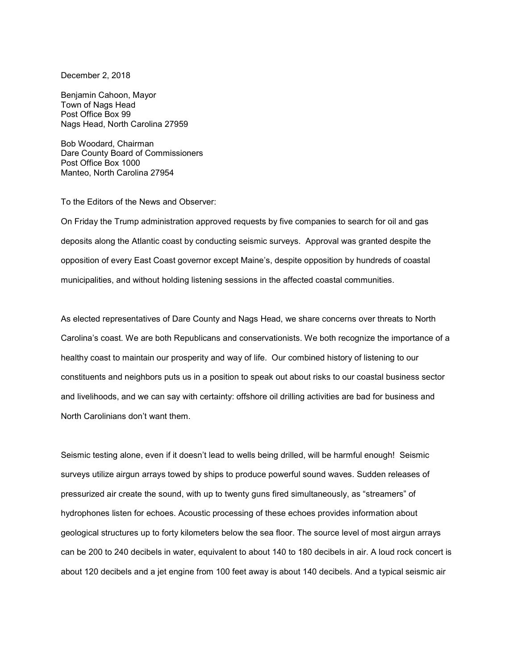December 2, 2018

Benjamin Cahoon, Mayor Town of Nags Head Post Office Box 99 Nags Head, North Carolina 27959

Bob Woodard, Chairman Dare County Board of Commissioners Post Office Box 1000 Manteo, North Carolina 27954

To the Editors of the News and Observer:

On Friday the Trump administration approved requests by five companies to search for oil and gas deposits along the Atlantic coast by conducting seismic surveys. Approval was granted despite the opposition of every East Coast governor except Maine's, despite opposition by hundreds of coastal municipalities, and without holding listening sessions in the affected coastal communities.

As elected representatives of Dare County and Nags Head, we share concerns over threats to North Carolina's coast. We are both Republicans and conservationists. We both recognize the importance of a healthy coast to maintain our prosperity and way of life. Our combined history of listening to our constituents and neighbors puts us in a position to speak out about risks to our coastal business sector and livelihoods, and we can say with certainty: offshore oil drilling activities are bad for business and North Carolinians don't want them.

Seismic testing alone, even if it doesn't lead to wells being drilled, will be harmful enough! Seismic surveys utilize airgun arrays towed by ships to produce powerful sound waves. Sudden releases of pressurized air create the sound, with up to twenty guns fired simultaneously, as "streamers" of hydrophones listen for echoes. Acoustic processing of these echoes provides information about geological structures up to forty kilometers below the sea floor. The source level of most airgun arrays can be 200 to 240 decibels in water, equivalent to about 140 to 180 decibels in air. A loud rock concert is about 120 decibels and a jet engine from 100 feet away is about 140 decibels. And a typical seismic air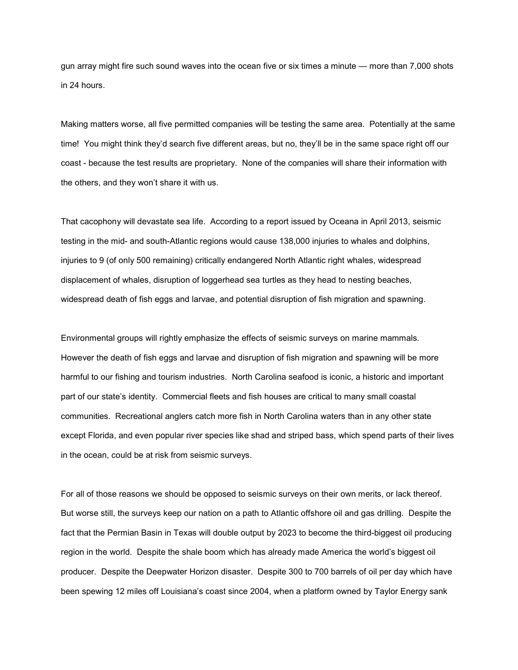gun array might fire such sound waves into the ocean five or six times a minute — more than 7,000 shots in 24 hours.

Making matters worse, all five permitted companies will be testing the same area. Potentially at the same time! You might think they'd search five different areas, but no, they'll be in the same space right off our coast - because the test results are proprietary. None of the companies will share their information with the others, and they won't share it with us.

That cacophony will devastate sea life. According to a report issued by Oceana in April 2013, seismic testing in the mid- and south-Atlantic regions would cause 138,000 injuries to whales and dolphins, injuries to 9 (of only 500 remaining) critically endangered North Atlantic right whales, widespread displacement of whales, disruption of loggerhead sea turtles as they head to nesting beaches, widespread death of fish eggs and larvae, and potential disruption of fish migration and spawning.

Environmental groups will rightly emphasize the effects of seismic surveys on marine mammals. However the death of fish eggs and larvae and disruption of fish migration and spawning will be more harmful to our fishing and tourism industries. North Carolina seafood is iconic, a historic and important part of our state's identity. Commercial fleets and fish houses are critical to many small coastal communities. Recreational anglers catch more fish in North Carolina waters than in any other state except Florida, and even popular river species like shad and striped bass, which spend parts of their lives in the ocean, could be at risk from seismic surveys.

For all of those reasons we should be opposed to seismic surveys on their own merits, or lack thereof. But worse still, the surveys keep our nation on a path to Atlantic offshore oil and gas drilling. Despite the fact that the Permian Basin in Texas will double output by 2023 to become the third-biggest oil producing region in the world. Despite the shale boom which has already made America the world's biggest oil producer. Despite the Deepwater Horizon disaster. Despite 300 to 700 barrels of oil per day which have been spewing 12 miles off Louisiana's coast since 2004, when a platform owned by Taylor Energy sank